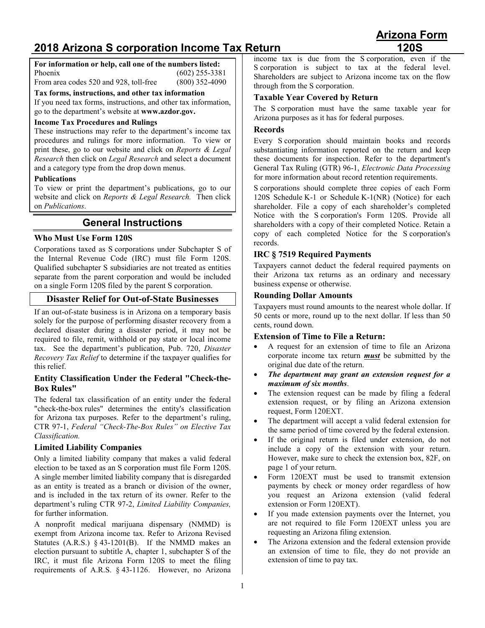# **2018 Arizona S corporation Income Tax Return 120S**

#### **For information or help, call one of the numbers listed:** Phoenix (602) 255-3381 From area codes 520 and 928, toll-free (800) 352-4090

**Tax forms, instructions, and other tax information**

If you need tax forms, instructions, and other tax information, go to the department's website at **[www.azdor.gov.](http://www.azdor.gov/)**

## **Income Tax Procedures and Rulings**

These instructions may refer to the department's income tax procedures and rulings for more information. To view or print these, go to our website and click on *Reports & Legal Research* then click on *Legal Research* and select a document and a category type from the drop down menus.

#### **Publications**

To view or print the department's publications, go to our website and click on *Reports & Legal Research.* Then click on *Publications*.

## **General Instructions**

#### **Who Must Use Form 120S**

Corporations taxed as S corporations under Subchapter S of the Internal Revenue Code (IRC) must file Form 120S. Qualified subchapter S subsidiaries are not treated as entities separate from the parent corporation and would be included on a single Form 120S filed by the parent S corporation.

#### **Disaster Relief for Out-of-State Businesses**

If an out-of-state business is in Arizona on a temporary basis solely for the purpose of performing disaster recovery from a declared disaster during a disaster period, it may not be required to file, remit, withhold or pay state or local income tax. See the department's publication, Pub. 720, *Disaster Recovery Tax Relief* to determine if the taxpayer qualifies for this relief.

#### **Entity Classification Under the Federal "Check-the-Box Rules"**

The federal tax classification of an entity under the federal "check-the-box rules" determines the entity's classification for Arizona tax purposes. Refer to the department's ruling, CTR 97-1, *Federal "Check-The-Box Rules" on Elective Tax Classification.* 

#### **Limited Liability Companies**

Only a limited liability company that makes a valid federal election to be taxed as an S corporation must file Form 120S. A single member limited liability company that is disregarded as an entity is treated as a branch or division of the owner, and is included in the tax return of its owner. Refer to the department's ruling CTR 97-2, *Limited Liability Companies,* for further information.

A nonprofit medical marijuana dispensary (NMMD) is exempt from Arizona income tax. Refer to Arizona Revised Statutes  $(A.R.S.)$  § 43-1201 $(B)$ . If the NMMD makes an election pursuant to subtitle A, chapter 1, subchapter S of the IRC, it must file Arizona Form 120S to meet the filing requirements of A.R.S. § 43-1126. However, no Arizona

income tax is due from the S corporation, even if the S corporation is subject to tax at the federal level. Shareholders are subject to Arizona income tax on the flow through from the S corporation.

#### **Taxable Year Covered by Return**

The S corporation must have the same taxable year for Arizona purposes as it has for federal purposes.

#### **Records**

Every S corporation should maintain books and records substantiating information reported on the return and keep these documents for inspection. Refer to the department's General Tax Ruling (GTR) 96-1, *Electronic Data Processing* for more information about record retention requirements.

S corporations should complete three copies of each Form 120S Schedule K-1 or Schedule K-1(NR) (Notice) for each shareholder. File a copy of each shareholder's completed Notice with the S corporation's Form 120S. Provide all shareholders with a copy of their completed Notice. Retain a copy of each completed Notice for the S corporation's records.

#### **IRC § 7519 Required Payments**

Taxpayers cannot deduct the federal required payments on their Arizona tax returns as an ordinary and necessary business expense or otherwise.

#### **Rounding Dollar Amounts**

Taxpayers must round amounts to the nearest whole dollar. If 50 cents or more, round up to the next dollar. If less than 50 cents, round down.

#### **Extension of Time to File a Return:**

- A request for an extension of time to file an Arizona corporate income tax return *must* be submitted by the original due date of the return.
- *The department may grant an extension request for a maximum of six months*.
- The extension request can be made by filing a federal extension request, or by filing an Arizona extension request, Form 120EXT.
- The department will accept a valid federal extension for the same period of time covered by the federal extension.
- If the original return is filed under extension, do not include a copy of the extension with your return. However, make sure to check the extension box, 82F, on page 1 of your return.
- Form 120EXT must be used to transmit extension payments by check or money order regardless of how you request an Arizona extension (valid federal extension or Form 120EXT).
- If you made extension payments over the Internet, you are not required to file Form 120EXT unless you are requesting an Arizona filing extension.
- The Arizona extension and the federal extension provide an extension of time to file, they do not provide an extension of time to pay tax.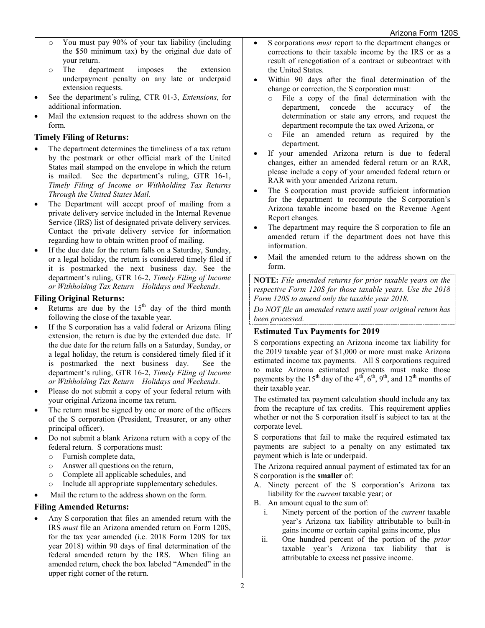- o You must pay 90% of your tax liability (including the \$50 minimum tax) by the original due date of your return.
- o The department imposes the extension underpayment penalty on any late or underpaid extension requests.
- See the department's ruling, CTR 01-3, *Extensions*, for additional information.
- Mail the extension request to the address shown on the form.

## **Timely Filing of Returns:**

- The department determines the timeliness of a tax return by the postmark or other official mark of the United States mail stamped on the envelope in which the return is mailed. See the department's ruling, GTR 16-1, *Timely Filing of Income or Withholding Tax Returns Through the United States Mail.*
- The Department will accept proof of mailing from a private delivery service included in the Internal Revenue Service (IRS) list of designated private delivery services. Contact the private delivery service for information regarding how to obtain written proof of mailing.
- If the due date for the return falls on a Saturday, Sunday, or a legal holiday, the return is considered timely filed if it is postmarked the next business day. See the department's ruling, GTR 16-2, *Timely Filing of Income or Withholding Tax Return – Holidays and Weekends*.

## **Filing Original Returns:**

- Returns are due by the  $15<sup>th</sup>$  day of the third month following the close of the taxable year.
- If the S corporation has a valid federal or Arizona filing extension, the return is due by the extended due date. If the due date for the return falls on a Saturday, Sunday, or a legal holiday, the return is considered timely filed if it is postmarked the next business day. See the department's ruling, GTR 16-2, *Timely Filing of Income or Withholding Tax Return – Holidays and Weekends*.
- Please do not submit a copy of your federal return with your original Arizona income tax return.
- The return must be signed by one or more of the officers of the S corporation (President, Treasurer, or any other principal officer).
- Do not submit a blank Arizona return with a copy of the federal return. S corporations must:
	- o Furnish complete data,
	- o Answer all questions on the return,<br>
	o Complete all applicable schedules,
	- Complete all applicable schedules, and
	- o Include all appropriate supplementary schedules.
	- Mail the return to the address shown on the form.

## **Filing Amended Returns:**

• Any S corporation that files an amended return with the IRS *must* file an Arizona amended return on Form 120S, for the tax year amended (i.e. 2018 Form 120S for tax year 2018) within 90 days of final determination of the federal amended return by the IRS. When filing an amended return, check the box labeled "Amended" in the upper right corner of the return.

- S corporations *must* report to the department changes or corrections to their taxable income by the IRS or as a result of renegotiation of a contract or subcontract with the United States.
- Within 90 days after the final determination of the change or correction, the S corporation must:
	- o File a copy of the final determination with the department, concede the accuracy of the determination or state any errors, and request the department recompute the tax owed Arizona, or
	- o File an amended return as required by the department.
- If your amended Arizona return is due to federal changes, either an amended federal return or an RAR, please include a copy of your amended federal return or RAR with your amended Arizona return.
- The S corporation must provide sufficient information for the department to recompute the S corporation's Arizona taxable income based on the Revenue Agent Report changes.
- The department may require the S corporation to file an amended return if the department does not have this information.
- Mail the amended return to the address shown on the form.

**NOTE:** *File amended returns for prior taxable years on the respective Form 120S for those taxable years. Use the 2018 Form 120S to amend only the taxable year 2018.*

*Do NOT file an amended return until your original return has been processed.*

## **Estimated Tax Payments for 2019**

S corporations expecting an Arizona income tax liability for the 2019 taxable year of \$1,000 or more must make Arizona estimated income tax payments. All S corporations required to make Arizona estimated payments must make those payments by the 15<sup>th</sup> day of the  $4<sup>th</sup>$ ,  $6<sup>th</sup>$ ,  $9<sup>th</sup>$ , and 12<sup>th</sup> months of their taxable year.

The estimated tax payment calculation should include any tax from the recapture of tax credits. This requirement applies whether or not the S corporation itself is subject to tax at the corporate level.

S corporations that fail to make the required estimated tax payments are subject to a penalty on any estimated tax payment which is late or underpaid.

The Arizona required annual payment of estimated tax for an S corporation is the **smaller** of:

- A. Ninety percent of the S corporation's Arizona tax liability for the *current* taxable year; or
- B. An amount equal to the sum of:
	- i. Ninety percent of the portion of the *current* taxable year's Arizona tax liability attributable to built-in gains income or certain capital gains income, plus
	- ii. One hundred percent of the portion of the *prior* taxable year's Arizona tax liability that is attributable to excess net passive income.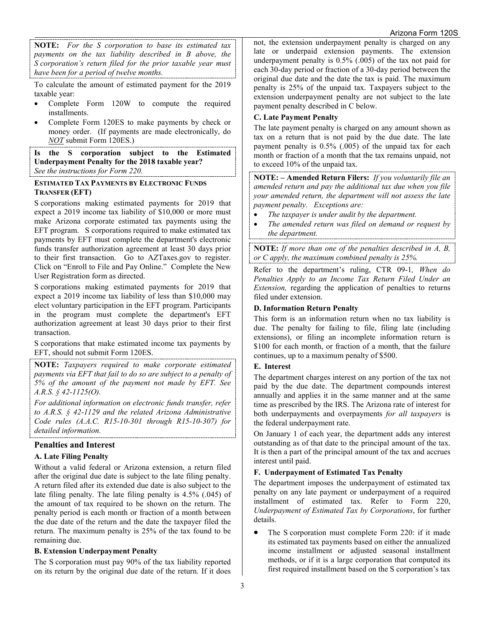**NOTE:** *For the S corporation to base its estimated tax payments on the tax liability described in B above, the S corporation's return filed for the prior taxable year must have been for a period of twelve months.* 

To calculate the amount of estimated payment for the 2019 taxable year:

- Complete Form 120W to compute the required installments.
- Complete Form 120ES to make payments by check or money order. (If payments are made electronically, do *NOT* submit Form 120ES.)

**Is the S corporation subject to the Estimated Underpayment Penalty for the 2018 taxable year?** *See the instructions for Form 220.* 

#### **ESTIMATED TAX PAYMENTS BY ELECTRONIC FUNDS TRANSFER (EFT)**

S corporations making estimated payments for 2019 that expect a 2019 income tax liability of \$10,000 or more must make Arizona corporate estimated tax payments using the EFT program. S corporations required to make estimated tax payments by EFT must complete the department's electronic funds transfer authorization agreement at least 30 days prior to their first transaction. Go to AZTaxes.gov to register. Click on "Enroll to File and Pay Online." Complete the New User Registration form as directed.

S corporations making estimated payments for 2019 that expect a 2019 income tax liability of less than \$10,000 may elect voluntary participation in the EFT program. Participants in the program must complete the department's EFT authorization agreement at least 30 days prior to their first transaction.

S corporations that make estimated income tax payments by EFT, should not submit Form 120ES.

**NOTE:** *Taxpayers required to make corporate estimated payments via EFT that fail to do so are subject to a penalty of 5% of the amount of the payment not made by EFT. See A.R.S. § 42-1125(O).*

*For additional information on electronic funds transfer, refer to A.R.S. § 42-1129 and the related Arizona Administrative Code rules (A.A.C. R15-10-301 through R15-10-307) for detailed information.*

## **Penalties and Interest**

## **A. Late Filing Penalty**

Without a valid federal or Arizona extension, a return filed after the original due date is subject to the late filing penalty. A return filed after its extended due date is also subject to the late filing penalty. The late filing penalty is 4.5% (.045) of the amount of tax required to be shown on the return. The penalty period is each month or fraction of a month between the due date of the return and the date the taxpayer filed the return. The maximum penalty is 25% of the tax found to be remaining due.

#### **B. Extension Underpayment Penalty**

The S corporation must pay 90% of the tax liability reported on its return by the original due date of the return. If it does not, the extension underpayment penalty is charged on any late or underpaid extension payments. The extension underpayment penalty is 0.5% (.005) of the tax not paid for each 30-day period or fraction of a 30-day period between the original due date and the date the tax is paid. The maximum penalty is 25% of the unpaid tax. Taxpayers subject to the extension underpayment penalty are not subject to the late payment penalty described in C below.

## **C. Late Payment Penalty**

The late payment penalty is charged on any amount shown as tax on a return that is not paid by the due date. The late payment penalty is 0.5% (.005) of the unpaid tax for each month or fraction of a month that the tax remains unpaid, not to exceed 10% of the unpaid tax.

**NOTE: – Amended Return Filers:** *If you voluntarily file an amended return and pay the additional tax due when you file your amended return, the department will not assess the late payment penalty. Exceptions are:*

- *The taxpayer is under audit by the department.*
- *The amended return was filed on demand or request by the department.*

**NOTE:** *If more than one of the penalties described in A, B, or C apply, the maximum combined penalty is 25%.*

Refer to the department's ruling, CTR 09-1*, When do Penalties Apply to an Income Tax Return Filed Under an Extension,* regarding the application of penalties to returns filed under extension.

## **D. Information Return Penalty**

This form is an information return when no tax liability is due. The penalty for failing to file, filing late (including extensions), or filing an incomplete information return is \$100 for each month, or fraction of a month, that the failure continues, up to a maximum penalty of \$500.

## **E. Interest**

The department charges interest on any portion of the tax not paid by the due date. The department compounds interest annually and applies it in the same manner and at the same time as prescribed by the IRS. The Arizona rate of interest for both underpayments and overpayments *for all taxpayers* is the federal underpayment rate.

On January 1 of each year, the department adds any interest outstanding as of that date to the principal amount of the tax. It is then a part of the principal amount of the tax and accrues interest until paid.

## **F. Underpayment of Estimated Tax Penalty**

The department imposes the underpayment of estimated tax penalty on any late payment or underpayment of a required installment of estimated tax. Refer to Form 220, *Underpayment of Estimated Tax by Corporations*, for further details.

• The S corporation must complete Form 220: if it made its estimated tax payments based on either the annualized income installment or adjusted seasonal installment methods, or if it is a large corporation that computed its first required installment based on the S corporation's tax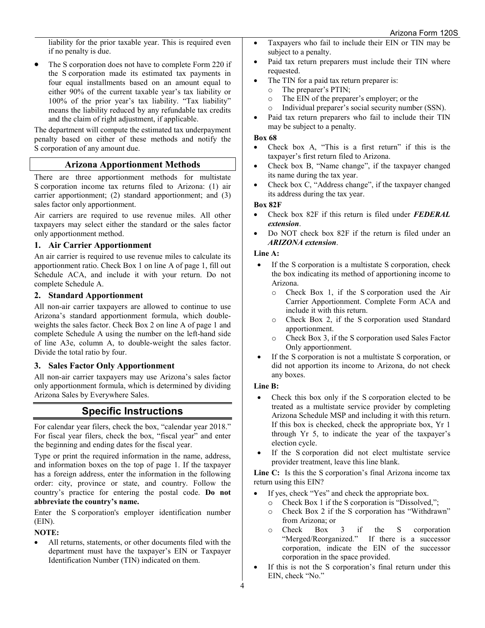liability for the prior taxable year. This is required even if no penalty is due.

• The S corporation does not have to complete Form 220 if the S corporation made its estimated tax payments in four equal installments based on an amount equal to either 90% of the current taxable year's tax liability or 100% of the prior year's tax liability. "Tax liability" means the liability reduced by any refundable tax credits and the claim of right adjustment, if applicable.

The department will compute the estimated tax underpayment penalty based on either of these methods and notify the S corporation of any amount due.

## **Arizona Apportionment Methods**

There are three apportionment methods for multistate S corporation income tax returns filed to Arizona: (1) air carrier apportionment; (2) standard apportionment; and (3) sales factor only apportionment.

Air carriers are required to use revenue miles. All other taxpayers may select either the standard or the sales factor only apportionment method.

#### **1. Air Carrier Apportionment**

An air carrier is required to use revenue miles to calculate its apportionment ratio. Check Box 1 on line A of page 1, fill out Schedule ACA, and include it with your return. Do not complete Schedule A.

#### **2. Standard Apportionment**

All non-air carrier taxpayers are allowed to continue to use Arizona's standard apportionment formula, which doubleweights the sales factor. Check Box 2 on line A of page 1 and complete Schedule A using the number on the left-hand side of line A3e, column A, to double-weight the sales factor. Divide the total ratio by four.

#### **3. Sales Factor Only Apportionment**

All non-air carrier taxpayers may use Arizona's sales factor only apportionment formula, which is determined by dividing Arizona Sales by Everywhere Sales.

## **Specific Instructions**

For calendar year filers, check the box, "calendar year 2018." For fiscal year filers, check the box, "fiscal year" and enter the beginning and ending dates for the fiscal year.

Type or print the required information in the name, address, and information boxes on the top of page 1. If the taxpayer has a foreign address, enter the information in the following order: city, province or state, and country. Follow the country's practice for entering the postal code. **Do not abbreviate the country's name.**

Enter the S corporation's employer identification number (EIN).

## **NOTE:**

All returns, statements, or other documents filed with the department must have the taxpayer's EIN or Taxpayer Identification Number (TIN) indicated on them.

- Taxpayers who fail to include their EIN or TIN may be subject to a penalty.
- Paid tax return preparers must include their TIN where requested.
- The TIN for a paid tax return preparer is:
	- $\circ$  The preparer's PTIN;<br> $\circ$  The EIN of the prepar
	- The EIN of the preparer's employer; or the
	- o Individual preparer's social security number (SSN).
- Paid tax return preparers who fail to include their TIN may be subject to a penalty.

#### **Box 68**

- Check box A, "This is a first return" if this is the taxpayer's first return filed to Arizona.
- Check box B, "Name change", if the taxpayer changed its name during the tax year.
- Check box C, "Address change", if the taxpayer changed its address during the tax year.

#### **Box 82F**

- Check box 82F if this return is filed under *FEDERAL extension*.
- Do NOT check box 82F if the return is filed under an *ARIZONA extension*.

#### **Line A:**

- If the S corporation is a multistate S corporation, check the box indicating its method of apportioning income to Arizona.
	- o Check Box 1, if the S corporation used the Air Carrier Apportionment. Complete Form ACA and include it with this return.
	- o Check Box 2, if the S corporation used Standard apportionment.
	- o Check Box 3, if the S corporation used Sales Factor Only apportionment.
- If the S corporation is not a multistate S corporation, or did not apportion its income to Arizona, do not check any boxes.

#### **Line B:**

- Check this box only if the S corporation elected to be treated as a multistate service provider by completing Arizona Schedule MSP and including it with this return. If this box is checked, check the appropriate box, Yr 1 through Yr 5, to indicate the year of the taxpayer's election cycle.
- If the S corporation did not elect multistate service provider treatment, leave this line blank.

**Line C:** Is this the S corporation's final Arizona income tax return using this EIN?

- If yes, check "Yes" and check the appropriate box.
	- o Check Box 1 if the S corporation is "Dissolved,";<br>  $\circ$  Check Box 2 if the S corporation has "Withdray
	- Check Box 2 if the S corporation has "Withdrawn" from Arizona; or
	- o Check Box 3 if the S corporation "Merged/Reorganized." If there is a successor corporation, indicate the EIN of the successor corporation in the space provided.
- If this is not the S corporation's final return under this EIN, check "No."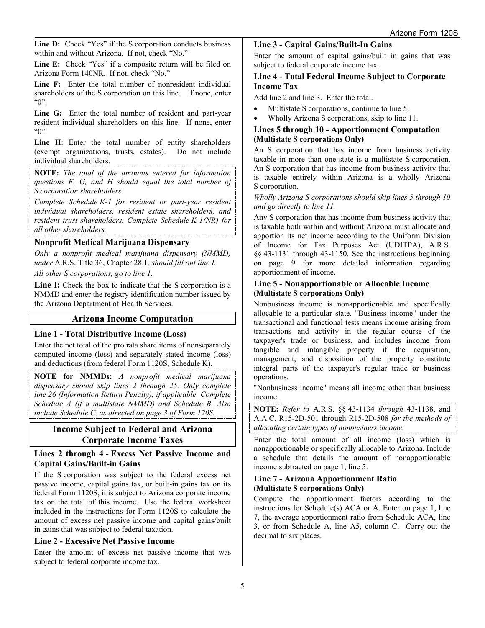Line D: Check "Yes" if the S corporation conducts business within and without Arizona. If not, check "No."

Line E: Check "Yes" if a composite return will be filed on Arizona Form 140NR. If not, check "No."

**Line F:** Enter the total number of nonresident individual shareholders of the S corporation on this line. If none, enter "0".

**Line G:** Enter the total number of resident and part-year resident individual shareholders on this line. If none, enter "0".

Line H: Enter the total number of entity shareholders (exempt organizations, trusts, estates). Do not include individual shareholders.

**NOTE:** *The total of the amounts entered for information questions F, G, and H should equal the total number of S corporation shareholders.*

*Complete Schedule K-1 for resident or part-year resident individual shareholders, resident estate shareholders, and resident trust shareholders. Complete Schedule K-1(NR) for all other shareholders.*

## **Nonprofit Medical Marijuana Dispensary**

*Only a nonprofit medical marijuana dispensary (NMMD) under* A.R.S. Title 36, Chapter 28.1*, should fill out line I.* 

*All other S corporations, go to line 1.*

**Line I:** Check the box to indicate that the S corporation is a NMMD and enter the registry identification number issued by the Arizona Department of Health Services.

## **Arizona Income Computation**

## **Line 1 - Total Distributive Income (Loss)**

Enter the net total of the pro rata share items of nonseparately computed income (loss) and separately stated income (loss) and deductions (from federal Form 1120S, Schedule K).

**NOTE for NMMDs:** *A nonprofit medical marijuana dispensary should skip lines 2 through 25. Only complete line 26 (Information Return Penalty), if applicable. Complete Schedule A (if a multistate NMMD) and Schedule B. Also include Schedule C, as directed on page 3 of Form 120S.*

## **Income Subject to Federal and Arizona Corporate Income Taxes**

**Lines 2 through 4 - Excess Net Passive Income and Capital Gains/Built-in Gains**

If the S corporation was subject to the federal excess net passive income, capital gains tax, or built-in gains tax on its federal Form 1120S, it is subject to Arizona corporate income tax on the total of this income. Use the federal worksheet included in the instructions for Form 1120S to calculate the amount of excess net passive income and capital gains/built in gains that was subject to federal taxation.

## **Line 2 - Excessive Net Passive Income**

Enter the amount of excess net passive income that was subject to federal corporate income tax.

#### **Line 3 - Capital Gains/Built-In Gains**

Enter the amount of capital gains/built in gains that was subject to federal corporate income tax.

#### **Line 4 - Total Federal Income Subject to Corporate Income Tax**

Add line 2 and line 3. Enter the total.

- Multistate S corporations, continue to line 5.
- Wholly Arizona S corporations, skip to line 11.

#### **Lines 5 through 10 - Apportionment Computation (Multistate S corporations Only)**

An S corporation that has income from business activity taxable in more than one state is a multistate S corporation. An S corporation that has income from business activity that is taxable entirely within Arizona is a wholly Arizona S corporation.

*Wholly Arizona S corporations should skip lines 5 through 10 and go directly to line 11.*

Any S corporation that has income from business activity that is taxable both within and without Arizona must allocate and apportion its net income according to the Uniform Division of Income for Tax Purposes Act (UDITPA), A.R.S. §§ 43-1131 through 43-1150. See the instructions beginning on page 9 for more detailed information regarding apportionment of income.

#### **Line 5 - Nonapportionable or Allocable Income (Multistate S corporations Only)**

Nonbusiness income is nonapportionable and specifically allocable to a particular state. "Business income" under the transactional and functional tests means income arising from transactions and activity in the regular course of the taxpayer's trade or business, and includes income from tangible and intangible property if the acquisition, management, and disposition of the property constitute integral parts of the taxpayer's regular trade or business operations.

"Nonbusiness income" means all income other than business income.

**NOTE:** *Refer to* A.R.S. §§ 43-1134 *through* 43-1138, and A.A.C. R15-2D-501 through R15-2D-508 *for the methods of allocating certain types of nonbusiness income.*

Enter the total amount of all income (loss) which is nonapportionable or specifically allocable to Arizona. Include a schedule that details the amount of nonapportionable income subtracted on page 1, line 5.

#### **Line 7 - Arizona Apportionment Ratio (Multistate S corporations Only)**

Compute the apportionment factors according to the instructions for Schedule(s) ACA or A. Enter on page 1, line 7, the average apportionment ratio from Schedule ACA, line 3, or from Schedule A, line A5, column C. Carry out the decimal to six places.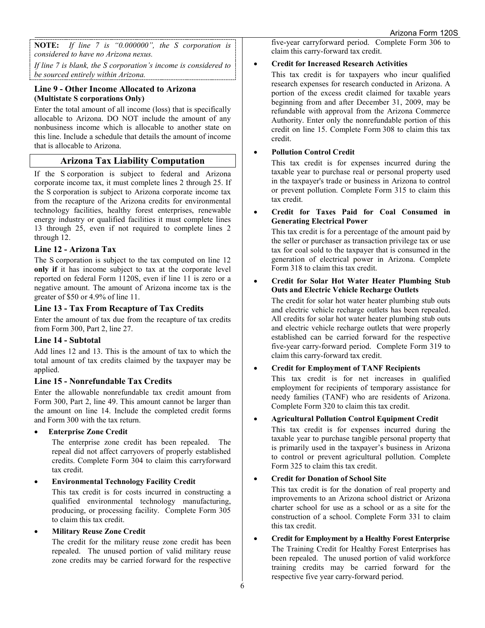**NOTE:** *If line 7 is "0.000000", the S corporation is considered to have no Arizona nexus.* 

*If line 7 is blank, the S corporation's income is considered to be sourced entirely within Arizona.* 

## **Line 9 - Other Income Allocated to Arizona (Multistate S corporations Only)**

Enter the total amount of all income (loss) that is specifically allocable to Arizona. DO NOT include the amount of any nonbusiness income which is allocable to another state on this line. Include a schedule that details the amount of income that is allocable to Arizona.

## **Arizona Tax Liability Computation**

If the S corporation is subject to federal and Arizona corporate income tax, it must complete lines 2 through 25. If the S corporation is subject to Arizona corporate income tax from the recapture of the Arizona credits for environmental technology facilities, healthy forest enterprises, renewable energy industry or qualified facilities it must complete lines 13 through 25, even if not required to complete lines 2 through 12.

## **Line 12 - Arizona Tax**

The S corporation is subject to the tax computed on line 12 **only if** it has income subject to tax at the corporate level reported on federal Form 1120S, even if line 11 is zero or a negative amount. The amount of Arizona income tax is the greater of \$50 or 4.9% of line 11.

## **Line 13 - Tax From Recapture of Tax Credits**

Enter the amount of tax due from the recapture of tax credits from Form 300, Part 2, line 27.

## **Line 14 - Subtotal**

Add lines 12 and 13. This is the amount of tax to which the total amount of tax credits claimed by the taxpayer may be applied.

## **Line 15 - Nonrefundable Tax Credits**

Enter the allowable nonrefundable tax credit amount from Form 300, Part 2, line 49. This amount cannot be larger than the amount on line 14. Include the completed credit forms and Form 300 with the tax return.

• **Enterprise Zone Credit**

The enterprise zone credit has been repealed. The repeal did not affect carryovers of properly established credits. Complete Form 304 to claim this carryforward tax credit.

## • **Environmental Technology Facility Credit**

This tax credit is for costs incurred in constructing a qualified environmental technology manufacturing, producing, or processing facility. Complete Form 305 to claim this tax credit.

## • **Military Reuse Zone Credit**

The credit for the military reuse zone credit has been repealed. The unused portion of valid military reuse zone credits may be carried forward for the respective

five-year carryforward period. Complete Form 306 to claim this carry-forward tax credit.

## • **Credit for Increased Research Activities**

This tax credit is for taxpayers who incur qualified research expenses for research conducted in Arizona. A portion of the excess credit claimed for taxable years beginning from and after December 31, 2009, may be refundable with approval from the Arizona Commerce Authority. Enter only the nonrefundable portion of this credit on line 15. Complete Form 308 to claim this tax credit.

## • **Pollution Control Credit**

This tax credit is for expenses incurred during the taxable year to purchase real or personal property used in the taxpayer's trade or business in Arizona to control or prevent pollution. Complete Form 315 to claim this tax credit.

#### • **Credit for Taxes Paid for Coal Consumed in Generating Electrical Power**

This tax credit is for a percentage of the amount paid by the seller or purchaser as transaction privilege tax or use tax for coal sold to the taxpayer that is consumed in the generation of electrical power in Arizona. Complete Form 318 to claim this tax credit.

#### • **Credit for Solar Hot Water Heater Plumbing Stub Outs and Electric Vehicle Recharge Outlets**

The credit for solar hot water heater plumbing stub outs and electric vehicle recharge outlets has been repealed. All credits for solar hot water heater plumbing stub outs and electric vehicle recharge outlets that were properly established can be carried forward for the respective five-year carry-forward period. Complete Form 319 to claim this carry-forward tax credit.

## • **Credit for Employment of TANF Recipients**

This tax credit is for net increases in qualified employment for recipients of temporary assistance for needy families (TANF) who are residents of Arizona. Complete Form 320 to claim this tax credit.

## • **Agricultural Pollution Control Equipment Credit**

This tax credit is for expenses incurred during the taxable year to purchase tangible personal property that is primarily used in the taxpayer's business in Arizona to control or prevent agricultural pollution. Complete Form 325 to claim this tax credit.

## • **Credit for Donation of School Site**

This tax credit is for the donation of real property and improvements to an Arizona school district or Arizona charter school for use as a school or as a site for the construction of a school. Complete Form 331 to claim this tax credit.

• **Credit for Employment by a Healthy Forest Enterprise** The Training Credit for Healthy Forest Enterprises has been repealed. The unused portion of valid workforce training credits may be carried forward for the respective five year carry-forward period.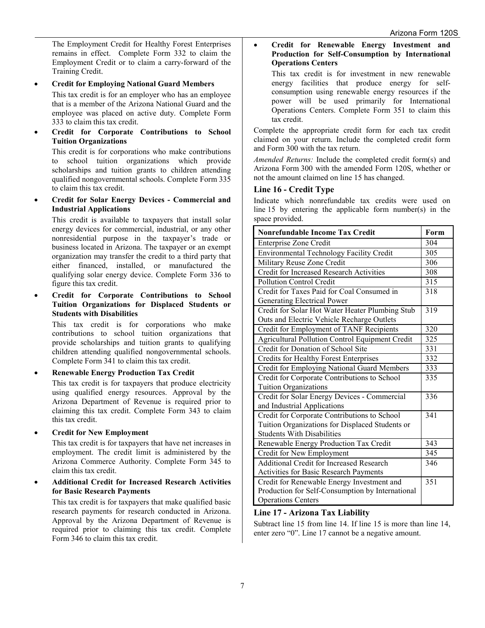The Employment Credit for Healthy Forest Enterprises remains in effect. Complete Form 332 to claim the Employment Credit or to claim a carry-forward of the Training Credit.

#### • **Credit for Employing National Guard Members**

This tax credit is for an employer who has an employee that is a member of the Arizona National Guard and the employee was placed on active duty. Complete Form 333 to claim this tax credit.

• **Credit for Corporate Contributions to School Tuition Organizations** 

This credit is for corporations who make contributions to school tuition organizations which provide scholarships and tuition grants to children attending qualified nongovernmental schools. Complete Form 335 to claim this tax credit.

• **Credit for Solar Energy Devices - Commercial and Industrial Applications** 

This credit is available to taxpayers that install solar energy devices for commercial, industrial, or any other nonresidential purpose in the taxpayer's trade or business located in Arizona. The taxpayer or an exempt organization may transfer the credit to a third party that either financed, installed, or manufactured the qualifying solar energy device. Complete Form 336 to figure this tax credit.

• **Credit for Corporate Contributions to School Tuition Organizations for Displaced Students or Students with Disabilities** 

This tax credit is for corporations who make contributions to school tuition organizations that provide scholarships and tuition grants to qualifying children attending qualified nongovernmental schools. Complete Form 341 to claim this tax credit.

## • **Renewable Energy Production Tax Credit**

This tax credit is for taxpayers that produce electricity using qualified energy resources. Approval by the Arizona Department of Revenue is required prior to claiming this tax credit. Complete Form 343 to claim this tax credit.

## • **Credit for New Employment**

This tax credit is for taxpayers that have net increases in employment. The credit limit is administered by the Arizona Commerce Authority. Complete Form 345 to claim this tax credit.

• **Additional Credit for Increased Research Activities for Basic Research Payments** 

This tax credit is for taxpayers that make qualified basic research payments for research conducted in Arizona. Approval by the Arizona Department of Revenue is required prior to claiming this tax credit. Complete Form 346 to claim this tax credit.

#### • **Credit for Renewable Energy Investment and Production for Self-Consumption by International Operations Centers**

This tax credit is for investment in new renewable energy facilities that produce energy for selfconsumption using renewable energy resources if the power will be used primarily for International Operations Centers. Complete Form 351 to claim this tax credit.

Complete the appropriate credit form for each tax credit claimed on your return. Include the completed credit form and Form 300 with the tax return.

*Amended Returns:* Include the completed credit form(s) and Arizona Form 300 with the amended Form 120S, whether or not the amount claimed on line 15 has changed.

#### **Line 16 - Credit Type**

Indicate which nonrefundable tax credits were used on line 15 by entering the applicable form number(s) in the space provided.

| <b>Nonrefundable Income Tax Credit</b>                 | Form |
|--------------------------------------------------------|------|
| Enterprise Zone Credit                                 | 304  |
| Environmental Technology Facility Credit               | 305  |
| Military Reuse Zone Credit                             | 306  |
| Credit for Increased Research Activities               | 308  |
| <b>Pollution Control Credit</b>                        | 315  |
| Credit for Taxes Paid for Coal Consumed in             | 318  |
| Generating Electrical Power                            |      |
| Credit for Solar Hot Water Heater Plumbing Stub        | 319  |
| Outs and Electric Vehicle Recharge Outlets             |      |
| Credit for Employment of TANF Recipients               | 320  |
| <b>Agricultural Pollution Control Equipment Credit</b> | 325  |
| Credit for Donation of School Site                     | 331  |
| <b>Credits for Healthy Forest Enterprises</b>          | 332  |
| Credit for Employing National Guard Members            | 333  |
| Credit for Corporate Contributions to School           | 335  |
| <b>Tuition Organizations</b>                           |      |
| Credit for Solar Energy Devices - Commercial           | 336  |
| and Industrial Applications                            |      |
| Credit for Corporate Contributions to School           | 341  |
| Tuition Organizations for Displaced Students or        |      |
| <b>Students With Disabilities</b>                      |      |
| Renewable Energy Production Tax Credit                 | 343  |
| Credit for New Employment                              | 345  |
| <b>Additional Credit for Increased Research</b>        | 346  |
| Activities for Basic Research Payments                 |      |
| Credit for Renewable Energy Investment and             | 351  |
| Production for Self-Consumption by International       |      |
| <b>Operations Centers</b>                              |      |

## **Line 17 - Arizona Tax Liability**

Subtract line 15 from line 14. If line 15 is more than line 14, enter zero "0". Line 17 cannot be a negative amount.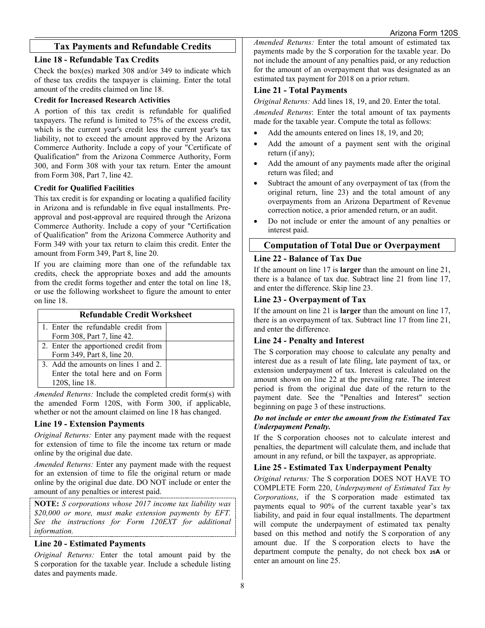## **Tax Payments and Refundable Credits**

#### **Line 18 - Refundable Tax Credits**

Check the box(es) marked 308 and/or 349 to indicate which of these tax credits the taxpayer is claiming. Enter the total amount of the credits claimed on line 18.

#### **Credit for Increased Research Activities**

A portion of this tax credit is refundable for qualified taxpayers. The refund is limited to 75% of the excess credit, which is the current year's credit less the current year's tax liability, not to exceed the amount approved by the Arizona Commerce Authority. Include a copy of your "Certificate of Qualification" from the Arizona Commerce Authority, Form 300, and Form 308 with your tax return. Enter the amount from Form 308, Part 7, line 42.

#### **Credit for Qualified Facilities**

This tax credit is for expanding or locating a qualified facility in Arizona and is refundable in five equal installments. Preapproval and post-approval are required through the Arizona Commerce Authority. Include a copy of your "Certification of Qualification" from the Arizona Commerce Authority and Form 349 with your tax return to claim this credit. Enter the amount from Form 349, Part 8, line 20.

If you are claiming more than one of the refundable tax credits, check the appropriate boxes and add the amounts from the credit forms together and enter the total on line 18, or use the following worksheet to figure the amount to enter on line 18.

| <b>Refundable Credit Worksheet</b>   |  |  |  |  |
|--------------------------------------|--|--|--|--|
| 1. Enter the refundable credit from  |  |  |  |  |
| Form 308, Part 7, line 42.           |  |  |  |  |
| 2. Enter the apportioned credit from |  |  |  |  |
| Form 349, Part 8, line 20.           |  |  |  |  |
| 3. Add the amounts on lines 1 and 2. |  |  |  |  |
| Enter the total here and on Form     |  |  |  |  |
| 120S, line 18.                       |  |  |  |  |

*Amended Returns:* Include the completed credit form(s) with the amended Form 120S, with Form 300, if applicable, whether or not the amount claimed on line 18 has changed.

#### **Line 19 - Extension Payments**

*Original Returns:* Enter any payment made with the request for extension of time to file the income tax return or made online by the original due date.

*Amended Returns:* Enter any payment made with the request for an extension of time to file the original return or made online by the original due date. DO NOT include or enter the amount of any penalties or interest paid.

**NOTE:** *S corporations whose 2017 income tax liability was \$20,000 or more, must make extension payments by EFT. See the instructions for Form 120EXT for additional information.*

## **Line 20 - Estimated Payments**

*Original Returns:* Enter the total amount paid by the S corporation for the taxable year. Include a schedule listing dates and payments made.

*Amended Returns:* Enter the total amount of estimated tax payments made by the S corporation for the taxable year. Do not include the amount of any penalties paid, or any reduction for the amount of an overpayment that was designated as an estimated tax payment for 2018 on a prior return.

#### **Line 21 - Total Payments**

*Original Returns:* Add lines 18, 19, and 20. Enter the total. *Amended Returns*: Enter the total amount of tax payments made for the taxable year. Compute the total as follows:

- Add the amounts entered on lines 18, 19, and 20;
- Add the amount of a payment sent with the original return (if any);
- Add the amount of any payments made after the original return was filed; and
- Subtract the amount of any overpayment of tax (from the original return, line 23) and the total amount of any overpayments from an Arizona Department of Revenue correction notice, a prior amended return, or an audit.
- Do not include or enter the amount of any penalties or interest paid.

## **Computation of Total Due or Overpayment**

## **Line 22 - Balance of Tax Due**

If the amount on line 17 is **larger** than the amount on line 21, there is a balance of tax due. Subtract line 21 from line 17, and enter the difference. Skip line 23.

#### **Line 23 - Overpayment of Tax**

If the amount on line 21 is **larger** than the amount on line 17, there is an overpayment of tax. Subtract line 17 from line 21, and enter the difference.

## **Line 24 - Penalty and Interest**

The S corporation may choose to calculate any penalty and interest due as a result of late filing, late payment of tax, or extension underpayment of tax. Interest is calculated on the amount shown on line 22 at the prevailing rate. The interest period is from the original due date of the return to the payment date. See the "Penalties and Interest" section beginning on page 3 of these instructions.

#### *Do not include or enter the amount from the Estimated Tax Underpayment Penalty.*

If the S corporation chooses not to calculate interest and penalties, the department will calculate them, and include that amount in any refund, or bill the taxpayer, as appropriate.

## **Line 25 - Estimated Tax Underpayment Penalty**

*Original returns:* The S corporation DOES NOT HAVE TO COMPLETE Form 220, *Underpayment of Estimated Tax by Corporations*, if the S corporation made estimated tax payments equal to 90% of the current taxable year's tax liability, and paid in four equal installments. The department will compute the underpayment of estimated tax penalty based on this method and notify the S corporation of any amount due. If the S corporation elects to have the department compute the penalty, do not check box **25A** or enter an amount on line 25.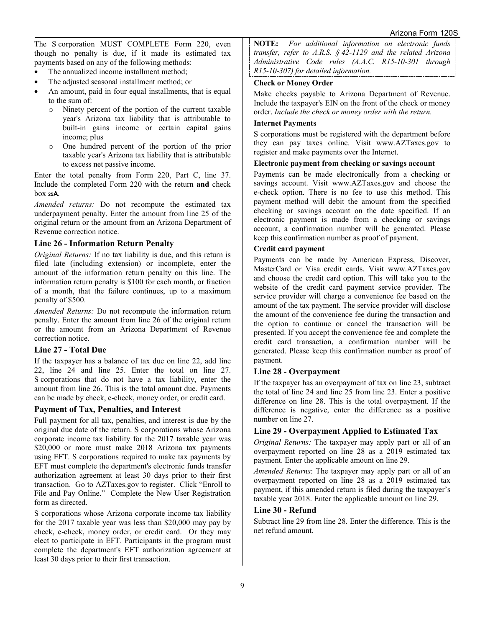The S corporation MUST COMPLETE Form 220, even though no penalty is due, if it made its estimated tax payments based on any of the following methods:

- The annualized income installment method:
- The adjusted seasonal installment method; or
- An amount, paid in four equal installments, that is equal to the sum of:
	- o Ninety percent of the portion of the current taxable year's Arizona tax liability that is attributable to built-in gains income or certain capital gains income; plus
	- o One hundred percent of the portion of the prior taxable year's Arizona tax liability that is attributable to excess net passive income.

Enter the total penalty from Form 220, Part C, line 37. Include the completed Form 220 with the return **and** check box **25A**.

*Amended returns:* Do not recompute the estimated tax underpayment penalty. Enter the amount from line 25 of the original return or the amount from an Arizona Department of Revenue correction notice.

#### **Line 26 - Information Return Penalty**

*Original Returns:* If no tax liability is due, and this return is filed late (including extension) or incomplete, enter the amount of the information return penalty on this line. The information return penalty is \$100 for each month, or fraction of a month, that the failure continues, up to a maximum penalty of \$500.

*Amended Returns:* Do not recompute the information return penalty. Enter the amount from line 26 of the original return or the amount from an Arizona Department of Revenue correction notice.

#### **Line 27 - Total Due**

If the taxpayer has a balance of tax due on line 22, add line 22, line 24 and line 25. Enter the total on line 27. S corporations that do not have a tax liability, enter the amount from line 26. This is the total amount due. Payments can be made by check, e-check, money order, or credit card.

#### **Payment of Tax, Penalties, and Interest**

Full payment for all tax, penalties, and interest is due by the original due date of the return. S corporations whose Arizona corporate income tax liability for the 2017 taxable year was \$20,000 or more must make 2018 Arizona tax payments using EFT. S corporations required to make tax payments by EFT must complete the department's electronic funds transfer authorization agreement at least 30 days prior to their first transaction. Go to AZTaxes.gov to register. Click "Enroll to File and Pay Online." Complete the New User Registration form as directed.

S corporations whose Arizona corporate income tax liability for the 2017 taxable year was less than \$20,000 may pay by check, e-check, money order, or credit card. Or they may elect to participate in EFT. Participants in the program must complete the department's EFT authorization agreement at least 30 days prior to their first transaction.

**NOTE:** *For additional information on electronic funds transfer, refer to A.R.S. § 42-1129 and the related Arizona Administrative Code rules (A.A.C. R15-10-301 through R15-10-307) for detailed information.*

#### **Check or Money Order**

Make checks payable to Arizona Department of Revenue. Include the taxpayer's EIN on the front of the check or money order. *Include the check or money order with the return.*

#### **Internet Payments**

S corporations must be registered with the department before they can pay taxes online. Visit www.AZTaxes.gov to register and make payments over the Internet.

#### **Electronic payment from checking or savings account**

Payments can be made electronically from a checking or savings account. Visit www.AZTaxes.gov and choose the e-check option. There is no fee to use this method. This payment method will debit the amount from the specified checking or savings account on the date specified. If an electronic payment is made from a checking or savings account, a confirmation number will be generated. Please keep this confirmation number as proof of payment.

#### **Credit card payment**

Payments can be made by American Express, Discover, MasterCard or Visa credit cards. Visit www.AZTaxes.gov and choose the credit card option. This will take you to the website of the credit card payment service provider. The service provider will charge a convenience fee based on the amount of the tax payment. The service provider will disclose the amount of the convenience fee during the transaction and the option to continue or cancel the transaction will be presented. If you accept the convenience fee and complete the credit card transaction, a confirmation number will be generated. Please keep this confirmation number as proof of payment.

#### **Line 28 - Overpayment**

If the taxpayer has an overpayment of tax on line 23, subtract the total of line 24 and line 25 from line 23. Enter a positive difference on line 28. This is the total overpayment. If the difference is negative, enter the difference as a positive number on line 27.

#### **Line 29 - Overpayment Applied to Estimated Tax**

*Original Returns:* The taxpayer may apply part or all of an overpayment reported on line 28 as a 2019 estimated tax payment. Enter the applicable amount on line 29.

*Amended Returns*: The taxpayer may apply part or all of an overpayment reported on line 28 as a 2019 estimated tax payment, if this amended return is filed during the taxpayer's taxable year 2018. Enter the applicable amount on line 29.

## **Line 30 - Refund**

Subtract line 29 from line 28. Enter the difference. This is the net refund amount.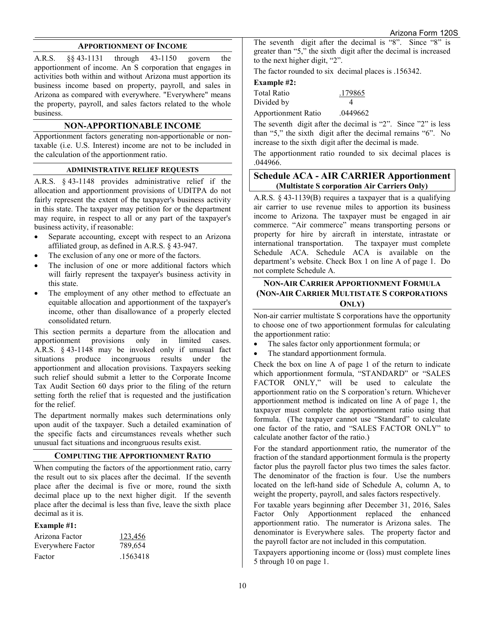#### **APPORTIONMENT OF INCOME**

A.R.S. §§ 43-1131 through 43-1150 govern the apportionment of income. An S corporation that engages in activities both within and without Arizona must apportion its business income based on property, payroll, and sales in Arizona as compared with everywhere. "Everywhere" means the property, payroll, and sales factors related to the whole business.

#### **NON-APPORTIONABLE INCOME**

Apportionment factors generating non-apportionable or nontaxable (i.e. U.S. Interest) income are not to be included in the calculation of the apportionment ratio.

#### **ADMINISTRATIVE RELIEF REQUESTS**

A.R.S. § 43-1148 provides administrative relief if the allocation and apportionment provisions of UDITPA do not fairly represent the extent of the taxpayer's business activity in this state. The taxpayer may petition for or the department may require, in respect to all or any part of the taxpayer's business activity, if reasonable:

- Separate accounting, except with respect to an Arizona affiliated group, as defined in A.R.S. § 43-947.
- The exclusion of any one or more of the factors.
- The inclusion of one or more additional factors which will fairly represent the taxpayer's business activity in this state.
- The employment of any other method to effectuate an equitable allocation and apportionment of the taxpayer's income, other than disallowance of a properly elected consolidated return.

This section permits a departure from the allocation and apportionment provisions only in limited cases. apportionment provisions only A.R.S. § 43-1148 may be invoked only if unusual fact situations produce incongruous results under the apportionment and allocation provisions. Taxpayers seeking such relief should submit a letter to the Corporate Income Tax Audit Section 60 days prior to the filing of the return setting forth the relief that is requested and the justification for the relief.

The department normally makes such determinations only upon audit of the taxpayer. Such a detailed examination of the specific facts and circumstances reveals whether such unusual fact situations and incongruous results exist.

#### **COMPUTING THE APPORTIONMENT RATIO**

When computing the factors of the apportionment ratio, carry the result out to six places after the decimal. If the seventh place after the decimal is five or more, round the sixth decimal place up to the next higher digit. If the seventh place after the decimal is less than five, leave the sixth place decimal as it is.

#### **Example #1:**

| Arizona Factor    | 123,456  |
|-------------------|----------|
| Everywhere Factor | 789,654  |
| Factor            | .1563418 |

The seventh digit after the decimal is "8". Since "8" is greater than "5," the sixth digit after the decimal is increased to the next higher digit, "2".

The factor rounded to six decimal places is .156342.

#### **Example #2:**

| Total Ratio | .179865 |
|-------------|---------|
| Divided by  |         |

Apportionment Ratio .0449662

The seventh digit after the decimal is "2". Since "2" is less than "5," the sixth digit after the decimal remains "6". No increase to the sixth digit after the decimal is made.

The apportionment ratio rounded to six decimal places is .044966.

## **Schedule ACA - AIR CARRIER Apportionment (Multistate S corporation Air Carriers Only)**

A.R.S. § 43-1139(B) requires a taxpayer that is a qualifying air carrier to use revenue miles to apportion its business income to Arizona. The taxpayer must be engaged in air commerce. "Air commerce" means transporting persons or property for hire by aircraft in interstate, intrastate or international transportation. The taxpayer must complete Schedule ACA. Schedule ACA is available on [the](file://phxfile01/universal/Forms%20Committee/Corporate/2015/05.12.15/Instructions/the) department's website. Check Box 1 on line A of page 1. Do not complete Schedule A.

## **NON-AIR CARRIER APPORTIONMENT FORMULA (NON-AIR CARRIER MULTISTATE S CORPORATIONS ONLY)**

Non-air carrier multistate S corporations have the opportunity to choose one of two apportionment formulas for calculating the apportionment ratio:

- The sales factor only apportionment formula; or
- The standard apportionment formula.

Check the box on line A of page 1 of the return to indicate which apportionment formula, "STANDARD" or "SALES FACTOR ONLY," will be used to calculate the apportionment ratio on the S corporation's return. Whichever apportionment method is indicated on line A of page 1, the taxpayer must complete the apportionment ratio using that formula. (The taxpayer cannot use "Standard" to calculate one factor of the ratio, and "SALES FACTOR ONLY" to calculate another factor of the ratio.)

For the standard apportionment ratio, the numerator of the fraction of the standard apportionment formula is the property factor plus the payroll factor plus two times the sales factor. The denominator of the fraction is four. Use the numbers located on the left-hand side of Schedule A, column A, to weight the property, payroll, and sales factors respectively.

For taxable years beginning after December 31, 2016, Sales Factor Only Apportionment replaced the enhanced apportionment ratio. The numerator is Arizona sales. The denominator is Everywhere sales. The property factor and the payroll factor are not included in this computation.

Taxpayers apportioning income or (loss) must complete lines 5 through 10 on page 1.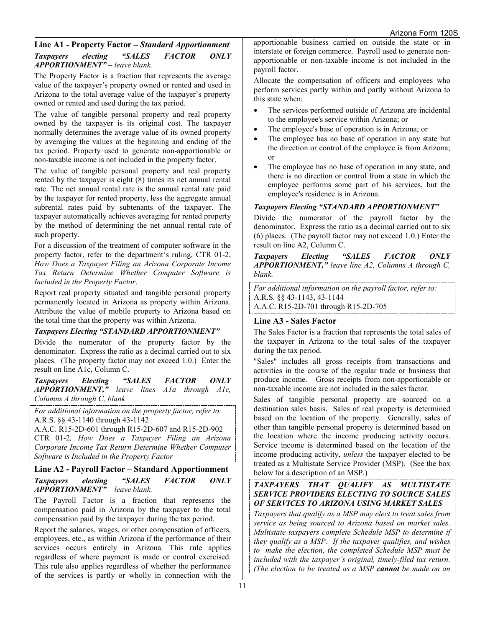## **Line A1 - Property Factor –** *Standard Apportionment Taxpayers electing "SALES FACTOR ONLY APPORTIONMENT" – leave blank.*

The Property Factor is a fraction that represents the average value of the taxpayer's property owned or rented and used in Arizona to the total average value of the taxpayer's property owned or rented and used during the tax period.

The value of tangible personal property and real property owned by the taxpayer is its original cost. The taxpayer normally determines the average value of its owned property by averaging the values at the beginning and ending of the tax period. Property used to generate non-apportionable or non-taxable income is not included in the property factor.

The value of tangible personal property and real property rented by the taxpayer is eight (8) times its net annual rental rate. The net annual rental rate is the annual rental rate paid by the taxpayer for rented property, less the aggregate annual subrental rates paid by subtenants of the taxpayer. The taxpayer automatically achieves averaging for rented property by the method of determining the net annual rental rate of such property.

For a discussion of the treatment of computer software in the property factor, refer to the department's ruling, CTR 01-2, *How Does a Taxpayer Filing an Arizona Corporate Income Tax Return Determine Whether Computer Software is Included in the Property Factor*.

Report real property situated and tangible personal property permanently located in Arizona as property within Arizona. Attribute the value of mobile property to Arizona based on the total time that the property was within Arizona.

## *Taxpayers Electing "STANDARD APPORTIONMENT"*

Divide the numerator of the property factor by the denominator. Express the ratio as a decimal carried out to six places. (The property factor may not exceed 1.0.) Enter the result on line A1c, Column C.

*Taxpayers Electing "SALES FACTOR ONLY APPORTIONMENT," leave lines A1a through A1c, Columns A through C, blank*

*For additional information on the property factor, refer to:* A.R.S. §§ 43-1140 through 43-1142

A.A.C. R15-2D-601 through R15-2D-607 and R15-2D-902 CTR 01-2*, How Does a Taxpayer Filing an Arizona Corporate Income Tax Return Determine Whether Computer Software is Included in the Property Factor*

## **Line A2 - Payroll Factor – Standard Apportionment**  *Taxpayers electing "SALES FACTOR ONLY APPORTIONMENT" – leave blank.*

The Payroll Factor is a fraction that represents the compensation paid in Arizona by the taxpayer to the total compensation paid by the taxpayer during the tax period.

Report the salaries, wages, or other compensation of officers, employees, etc., as within Arizona if the performance of their services occurs entirely in Arizona. This rule applies regardless of where payment is made or control exercised. This rule also applies regardless of whether the performance of the services is partly or wholly in connection with the

apportionable business carried on outside the state or in interstate or foreign commerce. Payroll used to generate nonapportionable or non-taxable income is not included in the payroll factor.

Allocate the compensation of officers and employees who perform services partly within and partly without Arizona to this state when:

- The services performed outside of Arizona are incidental to the employee's service within Arizona; or
- The employee's base of operation is in Arizona; or
- The employee has no base of operation in any state but the direction or control of the employee is from Arizona; or
- The employee has no base of operation in any state, and there is no direction or control from a state in which the employee performs some part of his services, but the employee's residence is in Arizona.

## *Taxpayers Electing "STANDARD APPORTIONMENT"*

Divide the numerator of the payroll factor by the denominator. Express the ratio as a decimal carried out to six (6) places. (The payroll factor may not exceed 1.0.) Enter the result on line A2, Column C.

*Taxpayers Electing "SALES FACTOR ONLY APPORTIONMENT," leave line A2, Columns A through C, blank.*

*For additional information on the payroll factor, refer to:* A.R.S. §§ 43-1143, 43-1144 A.A.C. R15-2D-701 through R15-2D-705

## **Line A3 - Sales Factor**

The Sales Factor is a fraction that represents the total sales of the taxpayer in Arizona to the total sales of the taxpayer during the tax period.

"Sales" includes all gross receipts from transactions and activities in the course of the regular trade or business that produce income. Gross receipts from non-apportionable or non-taxable income are not included in the sales factor.

Sales of tangible personal property are sourced on a destination sales basis. Sales of real property is determined based on the location of the property. Generally, sales of other than tangible personal property is determined based on the location where the income producing activity occurs. Service income is determined based on the location of the income producing activity, *unless* the taxpayer elected to be treated as a Multistate Service Provider (MSP). (See the box below for a description of an MSP.)

### *TAXPAYERS THAT QUALIFY AS MULTISTATE SERVICE PROVIDERS ELECTING TO SOURCE SALES OF SERVICES TO ARIZONA USING MARKET SALES*

*Taxpayers that qualify as a MSP may elect to treat sales from service as being sourced to Arizona based on market sales. Multistate taxpayers complete Schedule MSP to determine if they qualify as a MSP. If the taxpayer qualifies, and wishes to make the election, the completed Schedule MSP must be included with the taxpayer's original, timely-filed tax return. (The election to be treated as a MSP cannot be made on an*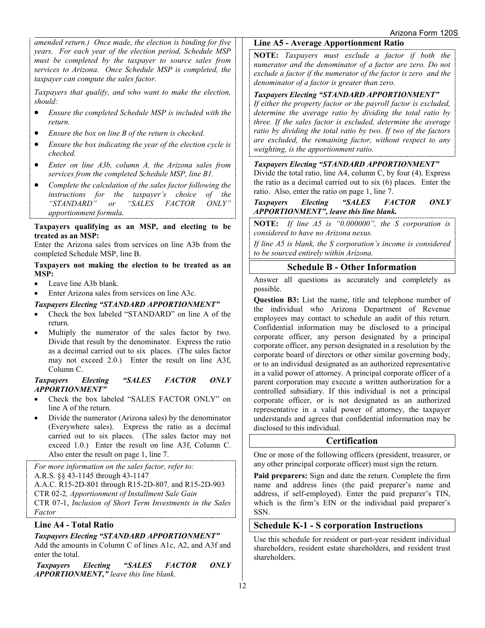*amended return.) Once made, the election is binding for five years. For each year of the election period, Schedule MSP must be completed by the taxpayer to source sales from services to Arizona. Once Schedule MSP is completed, the taxpayer can compute the sales factor.* 

*Taxpayers that qualify, and who want to make the election, should:* 

- *Ensure the completed Schedule MSP is included with the return.*
- *Ensure the box on line B of the return is checked.*
- *Ensure the box indicating the year of the election cycle is checked.*
- *Enter on line A3b, column A, the Arizona sales from services from the completed Schedule MSP, line B1.*
- *Complete the calculation of the sales factor following the instructions for the taxpayer's choice of the "STANDARD" or "SALES FACTOR ONLY" apportionment formula.*

#### **Taxpayers qualifying as an MSP, and electing to be treated as an MSP:**

Enter the Arizona sales from services on line A3b from the completed Schedule MSP, line B.

#### **Taxpayers not making the election to be treated as an MSP:**

- Leave line A3b blank.
- Enter Arizona sales from services on line A3c.

## *Taxpayers Electing "STANDARD APPORTIONMENT"*

- Check the box labeled "STANDARD" on line A of the return.
- Multiply the numerator of the sales factor by two. Divide that result by the denominator. Express the ratio as a decimal carried out to six places. (The sales factor may not exceed 2.0.) Enter the result on line A3f, Column C.

#### *Taxpayers Electing "SALES FACTOR ONLY APPORTIONMENT"*

- Check the box labeled "SALES FACTOR ONLY" on line A of the return.
- Divide the numerator (Arizona sales) by the denominator (Everywhere sales). Express the ratio as a decimal carried out to six places. (The sales factor may not exceed 1.0.) Enter the result on line A3f, Column C. Also enter the result on page 1, line 7.

*For more information on the sales factor, refer to:* A.R.S. §§ 43-1145 through 43-1147 A.A.C. R15-2D-801 through R15-2D-807*,* and R15-2D-903 CTR 02-2*, Apportionment of Installment Sale Gain* CTR 07-1, *Inclusion of Short Term Investments in the Sales Factor*

## **Line A4 - Total Ratio**

## *Taxpayers Electing "STANDARD APPORTIONMENT"*

Add the amounts in Column C of lines A1c, A2, and A3f and enter the total.

*Taxpayers Electing "SALES FACTOR ONLY APPORTIONMENT," leave this line blank.* 

## **Line A5 - Average Apportionment Ratio**

**NOTE:** *Taxpayers must exclude a factor if both the numerator and the denominator of a factor are zero. Do not exclude a factor if the numerator of the factor is zero and the denominator of a factor is greater than zero.*

## *Taxpayers Electing "STANDARD APPORTIONMENT"*

*If either the property factor or the payroll factor is excluded, determine the average ratio by dividing the total ratio by three. If the sales factor is excluded, determine the average ratio by dividing the total ratio by two. If two of the factors are excluded, the remaining factor, without respect to any weighting, is the apportionment ratio.*

## *Taxpayers Electing "STANDARD APPORTIONMENT"*

Divide the total ratio, line A4, column C, by four (4). Express the ratio as a decimal carried out to six (6) places. Enter the ratio. Also, enter the ratio on page 1, line 7.

#### *Taxpayers Electing "SALES FACTOR ONLY APPORTIONMENT", leave this line blank.*

**NOTE:** *If line A5 is "0.000000", the S corporation is considered to have no Arizona nexus.* 

*If line A5 is blank, the S corporation's income is considered to be sourced entirely within Arizona.* 

## **Schedule B - Other Information**

Answer all questions as accurately and completely as possible.

**Question B3:** List the name, title and telephone number of the individual who Arizona Department of Revenue employees may contact to schedule an audit of this return. Confidential information may be disclosed to a principal corporate officer, any person designated by a principal corporate officer, any person designated in a resolution by the corporate board of directors or other similar governing body, or to an individual designated as an authorized representative in a valid power of attorney. A principal corporate officer of a parent corporation may execute a written authorization for a controlled subsidiary. If this individual is not a principal corporate officer, or is not designated as an authorized representative in a valid power of attorney, the taxpayer understands and agrees that confidential information may be disclosed to this individual.

## **Certification**

One or more of the following officers (president, treasurer, or any other principal corporate officer) must sign the return.

**Paid preparers:** Sign and date the return. Complete the firm name and address lines (the paid preparer's name and address, if self-employed). Enter the paid preparer's TIN, which is the firm's EIN or the individual paid preparer's SSN.

## **Schedule K-1 - S corporation Instructions**

Use this schedule for resident or part-year resident individual shareholders, resident estate shareholders, and resident trust shareholders.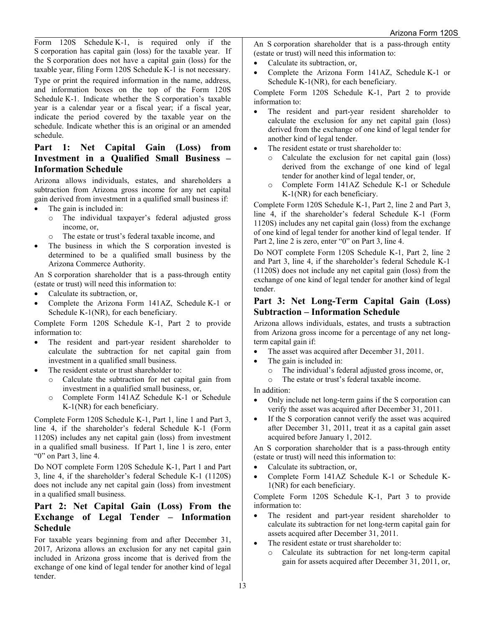Form 120S Schedule K-1, is required only if the S corporation has capital gain (loss) for the taxable year. If the S corporation does not have a capital gain (loss) for the taxable year, filing Form 120S Schedule K-1 is not necessary.

Type or print the required information in the name, address, and information boxes on the top of the Form 120S Schedule K-1. Indicate whether the S corporation's taxable year is a calendar year or a fiscal year; if a fiscal year, indicate the period covered by the taxable year on the schedule. Indicate whether this is an original or an amended schedule.

## **Part 1: Net Capital Gain (Loss) from Investment in a Qualified Small Business – Information Schedule**

Arizona allows individuals, estates, and shareholders a subtraction from Arizona gross income for any net capital gain derived from investment in a qualified small business if:

- The gain is included in:
	- o The individual taxpayer's federal adjusted gross income, or,
	- o The estate or trust's federal taxable income, and
- The business in which the S corporation invested is determined to be a qualified small business by the Arizona Commerce Authority.

An S corporation shareholder that is a pass-through entity (estate or trust) will need this information to:

- Calculate its subtraction, or,
- Complete the Arizona Form 141AZ, Schedule K-1 or Schedule K-1(NR), for each beneficiary.

Complete Form 120S Schedule K-1, Part 2 to provide information to:

- The resident and part-year resident shareholder to calculate the subtraction for net capital gain from investment in a qualified small business.
- The resident estate or trust shareholder to:
	- o Calculate the subtraction for net capital gain from investment in a qualified small business, or,
	- o Complete Form 141AZ Schedule K-1 or Schedule K-1(NR) for each beneficiary.

Complete Form 120S Schedule K-1, Part 1, line 1 and Part 3, line 4, if the shareholder's federal Schedule K-1 (Form 1120S) includes any net capital gain (loss) from investment in a qualified small business. If Part 1, line 1 is zero, enter "0" on Part 3, line 4.

Do NOT complete Form 120S Schedule K-1, Part 1 and Part 3, line 4, if the shareholder's federal Schedule K-1 (1120S) does not include any net capital gain (loss) from investment in a qualified small business.

## **Part 2: Net Capital Gain (Loss) From the Exchange of Legal Tender – Information Schedule**

For taxable years beginning from and after December 31, 2017, Arizona allows an exclusion for any net capital gain included in Arizona gross income that is derived from the exchange of one kind of legal tender for another kind of legal tender.

An S corporation shareholder that is a pass-through entity (estate or trust) will need this information to:

- Calculate its subtraction, or,
- Complete the Arizona Form 141AZ, Schedule K-1 or Schedule K-1(NR), for each beneficiary.

Complete Form 120S Schedule K-1, Part 2 to provide information to:

- The resident and part-year resident shareholder to calculate the exclusion for any net capital gain (loss) derived from the exchange of one kind of legal tender for another kind of legal tender.
- The resident estate or trust shareholder to:
	- o Calculate the exclusion for net capital gain (loss) derived from the exchange of one kind of legal tender for another kind of legal tender, or,
	- o Complete Form 141AZ Schedule K-1 or Schedule K-1(NR) for each beneficiary.

Complete Form 120S Schedule K-1, Part 2, line 2 and Part 3, line 4, if the shareholder's federal Schedule K-1 (Form 1120S) includes any net capital gain (loss) from the exchange of one kind of legal tender for another kind of legal tender. If Part 2, line 2 is zero, enter "0" on Part 3, line 4.

Do NOT complete Form 120S Schedule K-1, Part 2, line 2 and Part 3, line 4, if the shareholder's federal Schedule K-1 (1120S) does not include any net capital gain (loss) from the exchange of one kind of legal tender for another kind of legal tender.

## **Part 3: Net Long-Term Capital Gain (Loss) Subtraction – Information Schedule**

Arizona allows individuals, estates, and trusts a subtraction from Arizona gross income for a percentage of any net longterm capital gain if:

- The asset was acquired after December 31, 2011.
- The gain is included in:
	- $\circ$  The individual's federal adjusted gross income, or,<br>  $\circ$  The estate or trust's federal taxable income.
	- The estate or trust's federal taxable income.

In addition:

- Only include net long-term gains if the S corporation can verify the asset was acquired after December 31, 2011.
- If the S corporation cannot verify the asset was acquired after December 31, 2011, treat it as a capital gain asset acquired before January 1, 2012.

An S corporation shareholder that is a pass-through entity (estate or trust) will need this information to:

- Calculate its subtraction, or,
- Complete Form 141AZ Schedule K-1 or Schedule K-1(NR) for each beneficiary.

Complete Form 120S Schedule K-1, Part 3 to provide information to:

- The resident and part-year resident shareholder to calculate its subtraction for net long-term capital gain for assets acquired after December 31, 2011.
- The resident estate or trust shareholder to:
	- o Calculate its subtraction for net long-term capital gain for assets acquired after December 31, 2011, or,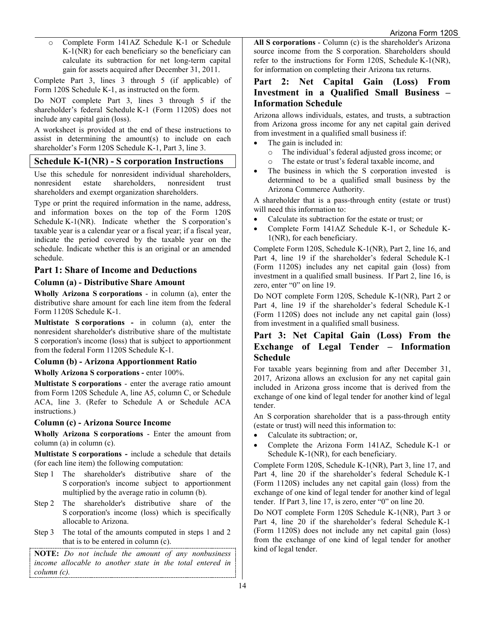o Complete Form 141AZ Schedule K-1 or Schedule K-1(NR) for each beneficiary so the beneficiary can calculate its subtraction for net long-term capital gain for assets acquired after December 31, 2011.

Complete Part 3, lines 3 through 5 (if applicable) of Form 120S Schedule K-1, as instructed on the form.

Do NOT complete Part 3, lines 3 through 5 if the shareholder's federal Schedule K-1 (Form 1120S) does not include any capital gain (loss).

A worksheet is provided at the end of these instructions to assist in determining the amount(s) to include on each shareholder's Form 120S Schedule K-1, Part 3, line 3.

## **Schedule K-1(NR) - S corporation Instructions**

Use this schedule for nonresident individual shareholders, nonresident estate shareholders, nonresident trust shareholders and exempt organization shareholders.

Type or print the required information in the name, address, and information boxes on the top of the Form 120S Schedule K-1(NR). Indicate whether the S corporation's taxable year is a calendar year or a fiscal year; if a fiscal year, indicate the period covered by the taxable year on the schedule. Indicate whether this is an original or an amended schedule.

## **Part 1: Share of Income and Deductions**

#### **Column (a) - Distributive Share Amount**

**Wholly Arizona S corporations** - in column (a), enter the distributive share amount for each line item from the federal Form 1120S Schedule K-1.

**Multistate S corporations -** in column (a), enter the nonresident shareholder's distributive share of the multistate S corporation's income (loss) that is subject to apportionment from the federal Form 1120S Schedule K-1.

## **Column (b) - Arizona Apportionment Ratio**

**Wholly Arizona S corporations -** enter 100%.

**Multistate S corporations** - enter the average ratio amount from Form 120S Schedule A, line A5, column C, or Schedule ACA, line 3. (Refer to Schedule A or Schedule ACA instructions.)

#### **Column (c) - Arizona Source Income**

**Wholly Arizona S corporations** - Enter the amount from column (a) in column (c).

**Multistate S corporations -** include a schedule that details (for each line item) the following computation:

- Step 1 The shareholder's distributive share of the S corporation's income subject to apportionment multiplied by the average ratio in column (b).
- Step 2 The shareholder's distributive share of the S corporation's income (loss) which is specifically allocable to Arizona.
- Step 3 The total of the amounts computed in steps 1 and 2 that is to be entered in column (c).

**NOTE:** *Do not include the amount of any nonbusiness income allocable to another state in the total entered in column (c).*

**All S corporations** - Column (c) is the shareholder's Arizona source income from the S corporation. Shareholders should refer to the instructions for Form 120S, Schedule K-1(NR), for information on completing their Arizona tax returns.

## **Part 2: Net Capital Gain (Loss) From Investment in a Qualified Small Business – Information Schedule**

Arizona allows individuals, estates, and trusts, a subtraction from Arizona gross income for any net capital gain derived from investment in a qualified small business if:

- The gain is included in:
	- $\circ$  The individual's federal adjusted gross income; or  $\circ$  The estate or trust's federal taxable income, and
	- The estate or trust's federal taxable income, and
- The business in which the S corporation invested is determined to be a qualified small business by the Arizona Commerce Authority.

A shareholder that is a pass-through entity (estate or trust) will need this information to:

- Calculate its subtraction for the estate or trust; or
- Complete Form 141AZ Schedule K-1, or Schedule K-1(NR), for each beneficiary.

Complete Form 120S, Schedule K-1(NR), Part 2, line 16, and Part 4, line 19 if the shareholder's federal Schedule K-1 (Form 1120S) includes any net capital gain (loss) from investment in a qualified small business. If Part 2, line 16, is zero, enter "0" on line 19.

Do NOT complete Form 120S, Schedule K-1(NR), Part 2 or Part 4, line 19 if the shareholder's federal Schedule K-1 (Form 1120S) does not include any net capital gain (loss) from investment in a qualified small business.

## **Part 3: Net Capital Gain (Loss) From the Exchange of Legal Tender – Information Schedule**

For taxable years beginning from and after December 31, 2017, Arizona allows an exclusion for any net capital gain included in Arizona gross income that is derived from the exchange of one kind of legal tender for another kind of legal tender.

An S corporation shareholder that is a pass-through entity (estate or trust) will need this information to:

- Calculate its subtraction; or,
- Complete the Arizona Form 141AZ, Schedule K-1 or Schedule K-1(NR), for each beneficiary.

Complete Form 120S, Schedule K-1(NR), Part 3, line 17, and Part 4, line 20 if the shareholder's federal Schedule K-1 (Form 1120S) includes any net capital gain (loss) from the exchange of one kind of legal tender for another kind of legal tender. If Part 3, line 17, is zero, enter "0" on line 20.

Do NOT complete Form 120S Schedule K-1(NR), Part 3 or Part 4, line 20 if the shareholder's federal Schedule K-1 (Form 1120S) does not include any net capital gain (loss) from the exchange of one kind of legal tender for another kind of legal tender.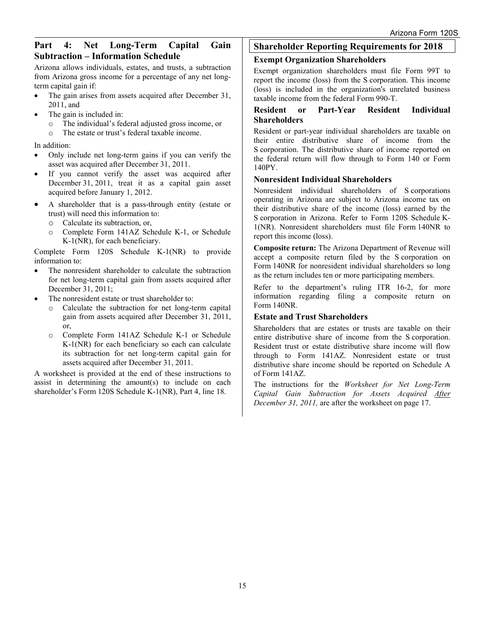## **Part 4: Net Long-Term Capital Gain Subtraction – Information Schedule**

Arizona allows individuals, estates, and trusts, a subtraction from Arizona gross income for a percentage of any net longterm capital gain if:

- The gain arises from assets acquired after December 31, 2011, and
- The gain is included in:
	- o The individual's federal adjusted gross income, or
	- o The estate or trust's federal taxable income.

#### In addition:

- Only include net long-term gains if you can verify the asset was acquired after December 31, 2011.
- If you cannot verify the asset was acquired after December 31, 2011, treat it as a capital gain asset acquired before January 1, 2012.
- A shareholder that is a pass-through entity (estate or trust) will need this information to:
	- o Calculate its subtraction, or,
	- Complete Form 141AZ Schedule K-1, or Schedule K-1(NR), for each beneficiary.

Complete Form 120S Schedule K-1(NR) to provide information to:

- The nonresident shareholder to calculate the subtraction for net long-term capital gain from assets acquired after December 31, 2011;
- The nonresident estate or trust shareholder to:
	- o Calculate the subtraction for net long-term capital gain from assets acquired after December 31, 2011, or,
	- o Complete Form 141AZ Schedule K-1 or Schedule K-1(NR) for each beneficiary so each can calculate its subtraction for net long-term capital gain for assets acquired after December 31, 2011.

A worksheet is provided at the end of these instructions to assist in determining the amount(s) to include on each shareholder's Form 120S Schedule K-1(NR), Part 4, line 18.

## **Shareholder Reporting Requirements for 2018**

## **Exempt Organization Shareholders**

Exempt organization shareholders must file Form 99T to report the income (loss) from the S corporation. This income (loss) is included in the organization's unrelated business taxable income from the federal Form 990-T.

## **Resident or Part-Year Resident Individual Shareholders**

Resident or part-year individual shareholders are taxable on their entire distributive share of income from the S corporation. The distributive share of income reported on the federal return will flow through to Form 140 or Form 140PY.

## **Nonresident Individual Shareholders**

Nonresident individual shareholders of S corporations operating in Arizona are subject to Arizona income tax on their distributive share of the income (loss) earned by the S corporation in Arizona. Refer to Form 120S Schedule K-1(NR). Nonresident shareholders must file Form 140NR to report this income (loss).

**Composite return:** The Arizona Department of Revenue will accept a composite return filed by the S corporation on Form 140NR for nonresident individual shareholders so long as the return includes ten or more participating members.

Refer to the department's ruling ITR 16-2, for more information regarding filing a composite return on Form 140NR.

## **Estate and Trust Shareholders**

Shareholders that are estates or trusts are taxable on their entire distributive share of income from the S corporation. Resident trust or estate distributive share income will flow through to Form 141AZ. Nonresident estate or trust distributive share income should be reported on Schedule A of Form 141AZ.

The instructions for the *Worksheet for Net Long-Term Capital Gain Subtraction for Assets Acquired After December 31, 2011,* are after the worksheet on page 17.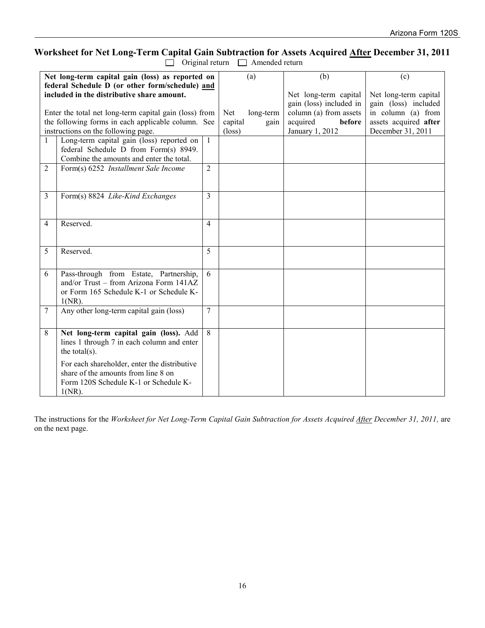# **Worksheet for Net Long-Term Capital Gain Subtraction for Assets Acquired After December 31, 2011**

 $\Box$  Original return  $\Box$  Amended return

|                                                                                                                                                                                                                                                      | Net long-term capital gain (loss) as reported on                                                                                          |                                   |                   | (a)                                                                                                                 | (b)                                                                                                               | (c) |
|------------------------------------------------------------------------------------------------------------------------------------------------------------------------------------------------------------------------------------------------------|-------------------------------------------------------------------------------------------------------------------------------------------|-----------------------------------|-------------------|---------------------------------------------------------------------------------------------------------------------|-------------------------------------------------------------------------------------------------------------------|-----|
| federal Schedule D (or other form/schedule) and<br>included in the distributive share amount.<br>Enter the total net long-term capital gain (loss) from<br>the following forms in each applicable column. See<br>instructions on the following page. |                                                                                                                                           | Net<br>capital<br>$(\text{loss})$ | long-term<br>gain | Net long-term capital<br>gain (loss) included in<br>column (a) from assets<br>acquired<br>before<br>January 1, 2012 | Net long-term capital<br>gain (loss) included<br>in column (a) from<br>assets acquired after<br>December 31, 2011 |     |
| $\mathbf{1}$                                                                                                                                                                                                                                         | Long-term capital gain (loss) reported on<br>federal Schedule D from Form(s) 8949.<br>Combine the amounts and enter the total.            | $\mathbf{1}$                      |                   |                                                                                                                     |                                                                                                                   |     |
| 2                                                                                                                                                                                                                                                    | Form(s) 6252 Installment Sale Income                                                                                                      | $\overline{2}$                    |                   |                                                                                                                     |                                                                                                                   |     |
| 3                                                                                                                                                                                                                                                    | Form(s) 8824 Like-Kind Exchanges                                                                                                          | 3                                 |                   |                                                                                                                     |                                                                                                                   |     |
| 4                                                                                                                                                                                                                                                    | Reserved.                                                                                                                                 | 4                                 |                   |                                                                                                                     |                                                                                                                   |     |
| 5                                                                                                                                                                                                                                                    | Reserved.                                                                                                                                 | 5                                 |                   |                                                                                                                     |                                                                                                                   |     |
| 6                                                                                                                                                                                                                                                    | Pass-through from Estate, Partnership,<br>and/or Trust - from Arizona Form 141AZ<br>or Form 165 Schedule K-1 or Schedule K-<br>$1(NR)$ .  | 6                                 |                   |                                                                                                                     |                                                                                                                   |     |
| 7                                                                                                                                                                                                                                                    | Any other long-term capital gain (loss)                                                                                                   | 7                                 |                   |                                                                                                                     |                                                                                                                   |     |
| 8                                                                                                                                                                                                                                                    | Net long-term capital gain (loss). Add<br>lines 1 through 7 in each column and enter<br>the total $(s)$ .                                 | 8                                 |                   |                                                                                                                     |                                                                                                                   |     |
|                                                                                                                                                                                                                                                      | For each shareholder, enter the distributive<br>share of the amounts from line 8 on<br>Form 120S Schedule K-1 or Schedule K-<br>$1(NR)$ . |                                   |                   |                                                                                                                     |                                                                                                                   |     |

The instructions for the *Worksheet for Net Long-Term Capital Gain Subtraction for Assets Acquired After December 31, 2011,* are on the next page.